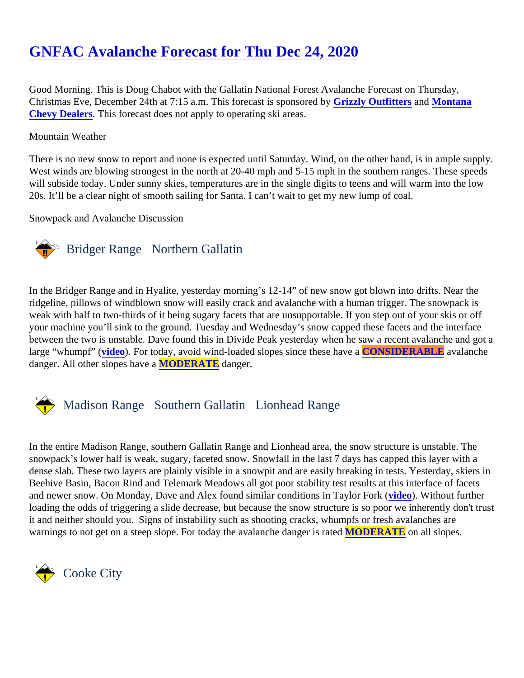# [GNFAC Avalanche Forecast for Thu Dec 24, 202](https://www.mtavalanche.com/forecast/20/12/24)0

Good Morning. This is Doug Chabot with the Gallatin National Forest Avalanche Forecast on Thursday, Christmas Eve, December 24th at 7:15 a.m. This forecast is sponsofeid by Outfitters and [Montana](http://www.montanachevydealers.com/) [Chevy Dealers](http://www.montanachevydealers.com/) This forecast does not apply to operating ski areas.

#### Mountain Weather

There is no new snow to report and none is expected until Saturday. Wind, on the other hand, is in ample sup West winds are blowing strongest in the north at 20-40 mph and 5-15 mph in the southern ranges. These spe will subside today. Under sunny skies, temperatures are in the single digits to teens and will warm into the low 20s. It'll be a clear night of smooth sailing for Santa. I can't wait to get my new lump of coal.

Snowpack and Avalanche Discussion

### Bridger Range Northern Gallatin

In the Bridger Range and in Hyalite, yesterday morning's 12-14" of new snow got blown into drifts. Near the ridgeline, pillows of windblown snow will easily crack and avalanche with a human trigger. The snowpack is weak with half to two-thirds of it being sugary facets that are unsupportable. If you step out of your skis or off your machine you'll sink to the ground. Tuesday and Wednesday's snow capped these facets and the interface between the two is unstable. Dave found this in Divide Peak yesterday when he saw a recent avalanche and large "whumpf" [\(video\)](https://youtu.be/wxVNGUUux04). For today, avoid wind-loaded slopes since these hCONSIDERABLE avalanche danger. All other slopes have MODERATE danger.

## Madison Range Southern Gallatin Lionhead Range

In the entire Madison Range, southern Gallatin Range and Lionhead area, the snow structure is unstable. The snowpack's lower half is weak, sugary, faceted snow. Snowfall in the last 7 days has capped this layer with a dense slab. These two layers are plainly visible in a snowpit and are easily breaking in tests. Yesterday, skier Beehive Basin, Bacon Rind and Telemark Meadows all got poor stability test results at this interface of facets and newer snow. On Monday, Dave and Alex found similar conditions in Taylor Forko). Without further loading the odds of triggering a slide decrease, but because the snow structure is so poor we inherently don't it and neither should you. Signs of instability such as shooting cracks, whumpfs or fresh avalanches are warnings to not get on a steep slope. For today the avalanche danger MODERATE on all slopes.

Cooke City